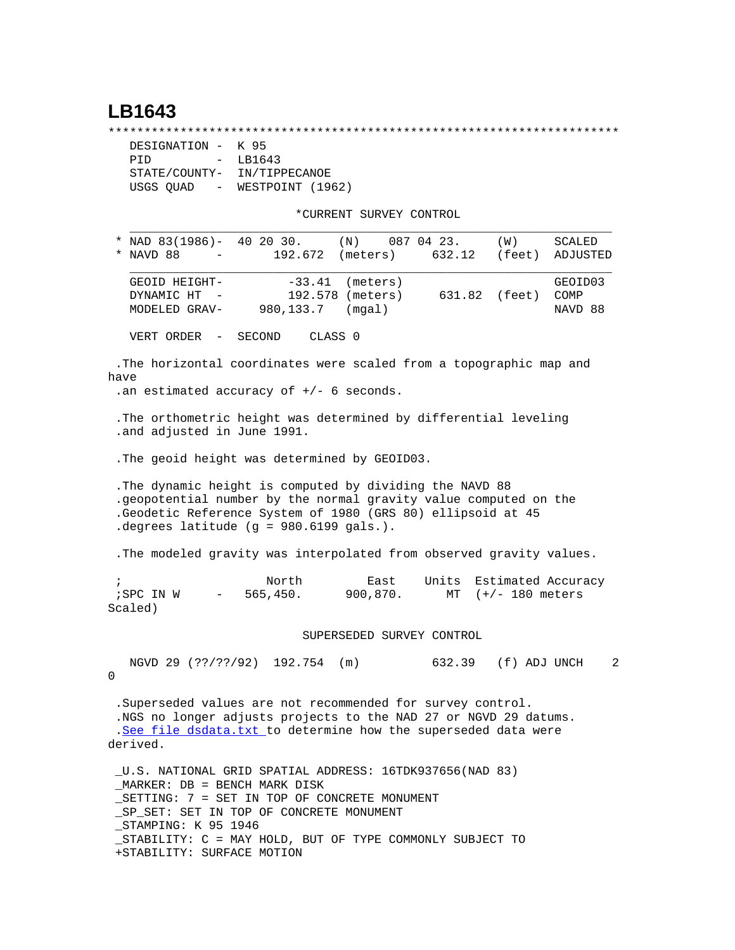## **LB1643**

\*\*\*\*\*\*\*\*\*\*\*\*\*\*\*\*\*\*\*\*\*\*\*\*\*\*\*\*\*\*\*\*\*\*\*\*\*\*\*\*\*\*\*\*\*\*\*\*\*\*\*\*\*\*\*\*\*\*\*\*\*\*\*\*\*\*\*\*\*\*\*

| DESIGNATION - K 95                    |                  |                  |
|---------------------------------------|------------------|------------------|
| PTD                                   | $\sim$ 100 $\mu$ | LB1643           |
| STATE/COUNTY-                         |                  | IN/TIPPECANOE    |
| USGS OUAD<br>$\alpha_{\rm{max}}=0.01$ |                  | WESTPOINT (1962) |

\*CURRENT SURVEY CONTROL

| NAD 83(1986)- 40 20 30.<br>NAVD 88                                                                                                                                                                                                     |                  | 192.672            | (N)<br>(meters)                                 | 087 04 23.<br>632.12 | (W)<br>(feet)       | SCALED<br>ADJUSTED         |
|----------------------------------------------------------------------------------------------------------------------------------------------------------------------------------------------------------------------------------------|------------------|--------------------|-------------------------------------------------|----------------------|---------------------|----------------------------|
| GEOID HEIGHT-<br>DYNAMIC HT<br>MODELED GRAV-                                                                                                                                                                                           | $\sim$           | 980,133.7          | $-33.41$ (meters)<br>192.578 (meters)<br>(mqal) | 631.82               | (feet)              | GEOID03<br>COMP<br>NAVD 88 |
| VERT ORDER -                                                                                                                                                                                                                           | SECOND           |                    | CLASS <sub>0</sub>                              |                      |                     |                            |
| .The horizontal coordinates were scaled from a topographic map and<br>have<br>.an estimated accuracy of $+/-$ 6 seconds.                                                                                                               |                  |                    |                                                 |                      |                     |                            |
| . The orthometric height was determined by differential leveling<br>.and adjusted in June 1991.                                                                                                                                        |                  |                    |                                                 |                      |                     |                            |
| . The geoid height was determined by GEOID03.                                                                                                                                                                                          |                  |                    |                                                 |                      |                     |                            |
| . The dynamic height is computed by dividing the NAVD 88<br>.geopotential number by the normal gravity value computed on the<br>.Geodetic Reference System of 1980 (GRS 80) ellipsoid at 45<br>.degrees latitude (g = 980.6199 gals.). |                  |                    |                                                 |                      |                     |                            |
| . The modeled gravity was interpolated from observed gravity values.                                                                                                                                                                   |                  |                    |                                                 |                      |                     |                            |
| $\ddot{ }$<br>; SPC IN W<br>Scaled)                                                                                                                                                                                                    | $\sim$ 100 $\mu$ | North<br>565, 450. | East<br>900,870.                                | Units<br>MT          | $(+/- 180$ meters   | Estimated Accuracy         |
|                                                                                                                                                                                                                                        |                  |                    | SUPERSEDED SURVEY CONTROL                       |                      |                     |                            |
| NGVD 29 (??/??/92) 192.754<br>0                                                                                                                                                                                                        |                  |                    | (m)                                             |                      | 632.39 (f) ADJ UNCH | 2                          |
| .Superseded values are not recommended for survey control.<br>.NGS no longer adjusts projects to the NAD 27 or NGVD 29 datums.<br>.See file dsdata.txt to determine how the superseded data were<br>derived.                           |                  |                    |                                                 |                      |                     |                            |
| U.S. NATIONAL GRID SPATIAL ADDRESS: 16TDK937656(NAD 83)<br>_MARKER: DB = BENCH MARK DISK<br>SETTING: 7 = SET IN TOP OF CONCRETE MONUMENT<br>SP SET: SET IN TOP OF CONCRETE MONUMENT                                                    |                  |                    |                                                 |                      |                     |                            |

\_STAMPING: K 95 1946

 \_STABILITY: C = MAY HOLD, BUT OF TYPE COMMONLY SUBJECT TO +STABILITY: SURFACE MOTION